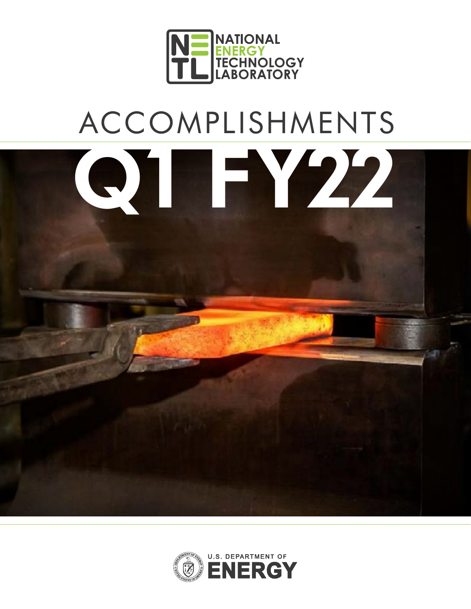

# ACCOMPLISHMENTS



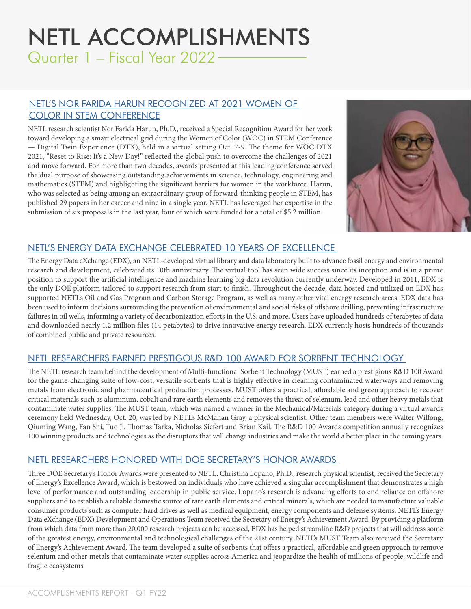# [NETL ACCOMPLISHMENTS](http://NETL ACCOMPLISHMENTS) Quarter 1 – Fiscal Year 2022

#### [NETL'S NOR FARIDA HARUN RECOGNIZED AT 2021 WOMEN OF](https://www.netl.doe.gov/node/11227)  [COLOR IN STEM CONFERENCE](https://www.netl.doe.gov/node/11227)

NETL research scientist Nor Farida Harun, Ph.D., received a Special Recognition Award for her work toward developing a smart electrical grid during the Women of Color (WOC) in STEM Conference — Digital Twin Experience (DTX), held in a virtual setting Oct. 7-9. The theme for WOC DTX 2021, "Reset to Rise: It's a New Day!" reflected the global push to overcome the challenges of 2021 and move forward. For more than two decades, awards presented at this leading conference served the dual purpose of showcasing outstanding achievements in science, technology, engineering and mathematics (STEM) and highlighting the significant barriers for women in the workforce. Harun, who was selected as being among an extraordinary group of forward-thinking people in STEM, has published 29 papers in her career and nine in a single year. NETL has leveraged her expertise in the submission of six proposals in the last year, four of which were funded for a total of \$5.2 million.



#### [NETL'S ENERGY DATA EXCHANGE CELEBRATED 10 YEARS OF EXCELLENCE](https://www.netl.doe.gov/node/11246)

The Energy Data eXchange (EDX), an NETL-developed virtual library and data laboratory built to advance fossil energy and environmental research and development, celebrated its 10th anniversary. The virtual tool has seen wide success since its inception and is in a prime position to support the artificial intelligence and machine learning big data revolution currently underway. Developed in 2011, EDX is the only DOE platform tailored to support research from start to finish. Throughout the decade, data hosted and utilized on EDX has supported NETL's Oil and Gas Program and Carbon Storage Program, as well as many other vital energy research areas. EDX data has been used to inform decisions surrounding the prevention of environmental and social risks of offshore drilling, preventing infrastructure failures in oil wells, informing a variety of decarbonization efforts in the U.S. and more. Users have uploaded hundreds of terabytes of data and downloaded nearly 1.2 million files (14 petabytes) to drive innovative energy research. EDX currently hosts hundreds of thousands of combined public and private resources.

# [NETL RESEARCHERS EARNED PRESTIGOUS R&D 100 AWARD FOR SORBENT TECHNOLOGY](https://www.netl.doe.gov/node/11248)

The NETL research team behind the development of Multi-functional Sorbent Technology (MUST) earned a prestigious R&D 100 Award for the game-changing suite of low-cost, versatile sorbents that is highly effective in cleaning contaminated waterways and removing metals from electronic and pharmaceutical production processes. MUST offers a practical, affordable and green approach to recover critical materials such as aluminum, cobalt and rare earth elements and removes the threat of selenium, lead and other heavy metals that contaminate water supplies. The MUST team, which was named a winner in the Mechanical/Materials category during a virtual awards ceremony held Wednesday, Oct. 20, was led by NETL's McMahan Gray, a physical scientist. Other team members were Walter Wilfong, Qiuming Wang, Fan Shi, Tuo Ji, Thomas Tarka, Nicholas Siefert and Brian Kail. The R&D 100 Awards competition annually recognizes 100 winning products and technologies as the disruptors that will change industries and make the world a better place in the coming years.

# [NETL RESEARCHERS HONORED WITH DOE SECRETARY'S HONOR AWARDS](https://www.netl.doe.gov/node/11461)

Three DOE Secretary's Honor Awards were presented to NETL. Christina Lopano, Ph.D., research physical scientist, received the Secretary of Energy's Excellence Award, which is bestowed on individuals who have achieved a singular accomplishment that demonstrates a high level of performance and outstanding leadership in public service. Lopano's research is advancing efforts to end reliance on offshore suppliers and to establish a reliable domestic source of rare earth elements and critical minerals, which are needed to manufacture valuable consumer products such as computer hard drives as well as medical equipment, energy components and defense systems. NETL's Energy Data eXchange (EDX) Development and Operations Team received the Secretary of Energy's Achievement Award. By providing a platform from which data from more than 20,000 research projects can be accessed, EDX has helped streamline R&D projects that will address some of the greatest energy, environmental and technological challenges of the 21st century. NETL's MUST Team also received the Secretary of Energy's Achievement Award. The team developed a suite of sorbents that offers a practical, affordable and green approach to remove selenium and other metals that contaminate water supplies across America and jeopardize the health of millions of people, wildlife and fragile ecosystems.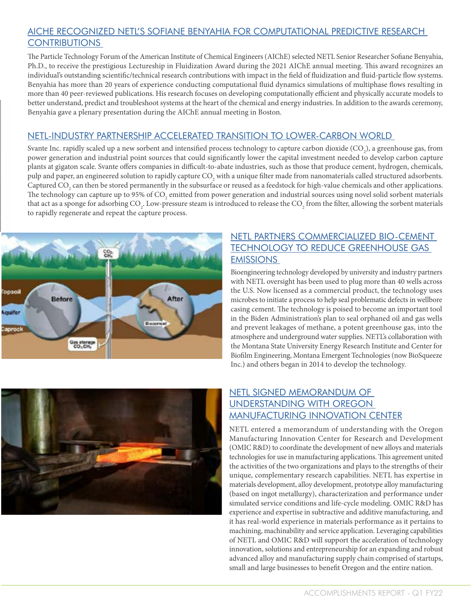#### [AICHE RECOGNIZED NETL'S SOFIANE BENYAHIA FOR COMPUTATIONAL PREDICTIVE RESEARCH](https://www.netl.doe.gov/node/11392)  **CONTRIBUTIONS**

The Particle Technology Forum of the American Institute of Chemical Engineers (AIChE) selected NETL Senior Researcher Sofiane Benyahia, Ph.D., to receive the prestigious Lectureship in Fluidization Award during the 2021 AIChE annual meeting. This award recognizes an individual's outstanding scientific/technical research contributions with impact in the field of fluidization and fluid-particle flow systems. Benyahia has more than 20 years of experience conducting computational fluid dynamics simulations of multiphase flows resulting in more than 40 peer-reviewed publications. His research focuses on developing computationally efficient and physically accurate models to better understand, predict and troubleshoot systems at the heart of the chemical and energy industries. In addition to the awards ceremony, Benyahia gave a plenary presentation during the AIChE annual meeting in Boston.

#### [NETL-INDUSTRY PARTNERSHIP ACCELERATED TRANSITION TO LOWER-CARBON WORLD](https://www.netl.doe.gov/node/11418)

Svante Inc. rapidly scaled up a new sorbent and intensified process technology to capture carbon dioxide (CO<sub>2</sub>), a greenhouse gas, from power generation and industrial point sources that could significantly lower the capital investment needed to develop carbon capture plants at gigaton scale. Svante offers companies in difficult-to-abate industries, such as those that produce cement, hydrogen, chemicals, pulp and paper, an engineered solution to rapidly capture CO<sub>2</sub> with a unique filter made from nanomaterials called structured adsorbents. Captured CO<sub>2</sub> can then be stored permanently in the subsurface or reused as a feedstock for high-value chemicals and other applications. The technology can capture up to 95% of CO<sub>2</sub> emitted from power generation and industrial sources using novel solid sorbent materials that act as a sponge for adsorbing CO<sub>2</sub>. Low-pressure steam is introduced to release the CO<sub>2</sub> from the filter, allowing the sorbent materials to rapidly regenerate and repeat the capture process.



## [NETL PARTNERS COMMERCIALIZED BIO-CEMENT](https://www.netl.doe.gov/node/11463)  [TECHNOLOGY TO REDUCE GREENHOUSE GAS](https://www.netl.doe.gov/node/11463)  **EMISSIONS**

Bioengineering technology developed by university and industry partners with NETL oversight has been used to plug more than 40 wells across the U.S. Now licensed as a commercial product, the technology uses microbes to initiate a process to help seal problematic defects in wellbore casing cement. The technology is poised to become an important tool in the Biden Administration's plan to seal orphaned oil and gas wells and prevent leakages of methane, a potent greenhouse gas, into the atmosphere and underground water supplies. NETL's collaboration with the Montana State University Energy Research Institute and Center for Biofilm Engineering, Montana Emergent Technologies (now BioSqueeze Inc.) and others began in 2014 to develop the technology.



# [NETL SIGNED MEMORANDUM OF](https://www.netl.doe.gov/node/11310)  [UNDERSTANDING WITH OREGON](https://www.netl.doe.gov/node/11310)  [MANUFACTURING INNOVATION CENTER](https://www.netl.doe.gov/node/11310)

NETL entered a memorandum of understanding with the Oregon Manufacturing Innovation Center for Research and Development (OMIC R&D) to coordinate the development of new alloys and materials technologies for use in manufacturing applications. This agreement united the activities of the two organizations and plays to the strengths of their unique, complementary research capabilities. NETL has expertise in materials development, alloy development, prototype alloy manufacturing (based on ingot metallurgy), characterization and performance under simulated service conditions and life-cycle modeling. OMIC R&D has experience and expertise in subtractive and additive manufacturing, and it has real-world experience in materials performance as it pertains to machining, machinability and service application. Leveraging capabilities of NETL and OMIC R&D will support the acceleration of technology innovation, solutions and entrepreneurship for an expanding and robust advanced alloy and manufacturing supply chain comprised of startups, small and large businesses to benefit Oregon and the entire nation.